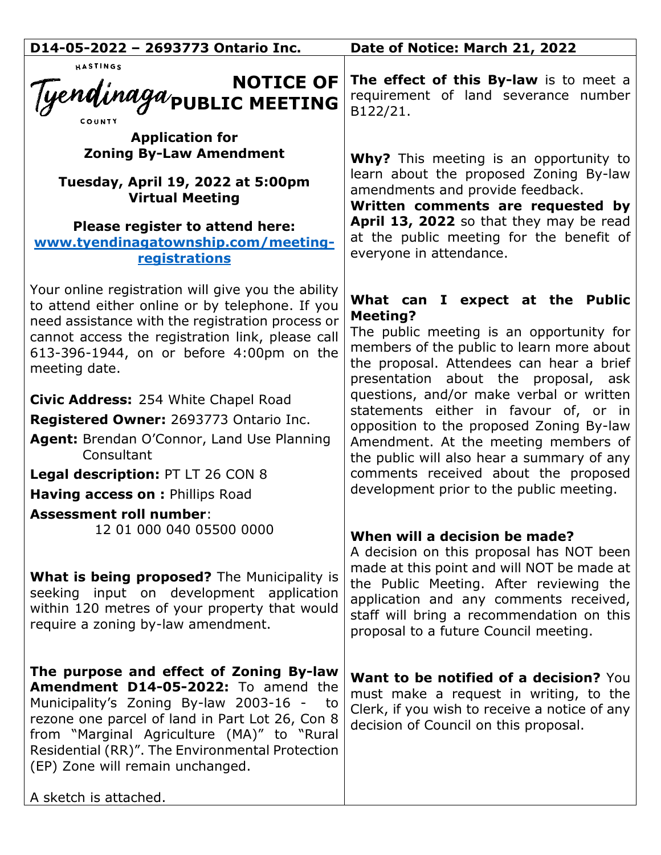| D14-05-2022 - 2693773 Ontario Inc.                                                                                                                                                                                                                                                                                                              | Date of Notice: March 21, 2022                                                                                                                                                                                                                                                                          |
|-------------------------------------------------------------------------------------------------------------------------------------------------------------------------------------------------------------------------------------------------------------------------------------------------------------------------------------------------|---------------------------------------------------------------------------------------------------------------------------------------------------------------------------------------------------------------------------------------------------------------------------------------------------------|
| HASTINGS<br>NOTICE OF<br>Tyendinaga/public MEETING                                                                                                                                                                                                                                                                                              | The effect of this By-law is to meet a<br>requirement of land severance number<br>B122/21.                                                                                                                                                                                                              |
| <b>Application for</b><br><b>Zoning By-Law Amendment</b><br>Tuesday, April 19, 2022 at 5:00pm<br><b>Virtual Meeting</b><br>Please register to attend here:<br>www.tyendinagatownship.com/meeting-<br>registrations                                                                                                                              | <b>Why?</b> This meeting is an opportunity to<br>learn about the proposed Zoning By-law<br>amendments and provide feedback.<br>Written comments are requested by<br>April 13, 2022 so that they may be read<br>at the public meeting for the benefit of<br>everyone in attendance.                      |
| Your online registration will give you the ability<br>to attend either online or by telephone. If you<br>need assistance with the registration process or<br>cannot access the registration link, please call<br>613-396-1944, on or before 4:00pm on the<br>meeting date.                                                                      | What can I expect at the Public<br><b>Meeting?</b><br>The public meeting is an opportunity for<br>members of the public to learn more about<br>the proposal. Attendees can hear a brief<br>presentation about the proposal, ask                                                                         |
| Civic Address: 254 White Chapel Road<br>Registered Owner: 2693773 Ontario Inc.<br>Agent: Brendan O'Connor, Land Use Planning<br>Consultant<br>Legal description: PT LT 26 CON 8<br>Having access on : Phillips Road                                                                                                                             | questions, and/or make verbal or written<br>statements either in favour of, or in<br>opposition to the proposed Zoning By-law<br>Amendment. At the meeting members of<br>the public will also hear a summary of any<br>comments received about the proposed<br>development prior to the public meeting. |
| <b>Assessment roll number:</b><br>12 01 000 040 05500 0000<br><b>What is being proposed?</b> The Municipality is<br>seeking input on development application<br>within 120 metres of your property that would<br>require a zoning by-law amendment.                                                                                             | When will a decision be made?<br>A decision on this proposal has NOT been<br>made at this point and will NOT be made at<br>the Public Meeting. After reviewing the<br>application and any comments received,<br>staff will bring a recommendation on this<br>proposal to a future Council meeting.      |
| The purpose and effect of Zoning By-law<br>Amendment D14-05-2022: To amend the<br>Municipality's Zoning By-law 2003-16 -<br>to<br>rezone one parcel of land in Part Lot 26, Con 8<br>from "Marginal Agriculture (MA)" to "Rural<br>Residential (RR)". The Environmental Protection<br>(EP) Zone will remain unchanged.<br>A sketch is attached. | Want to be notified of a decision? You<br>must make a request in writing, to the<br>Clerk, if you wish to receive a notice of any<br>decision of Council on this proposal.                                                                                                                              |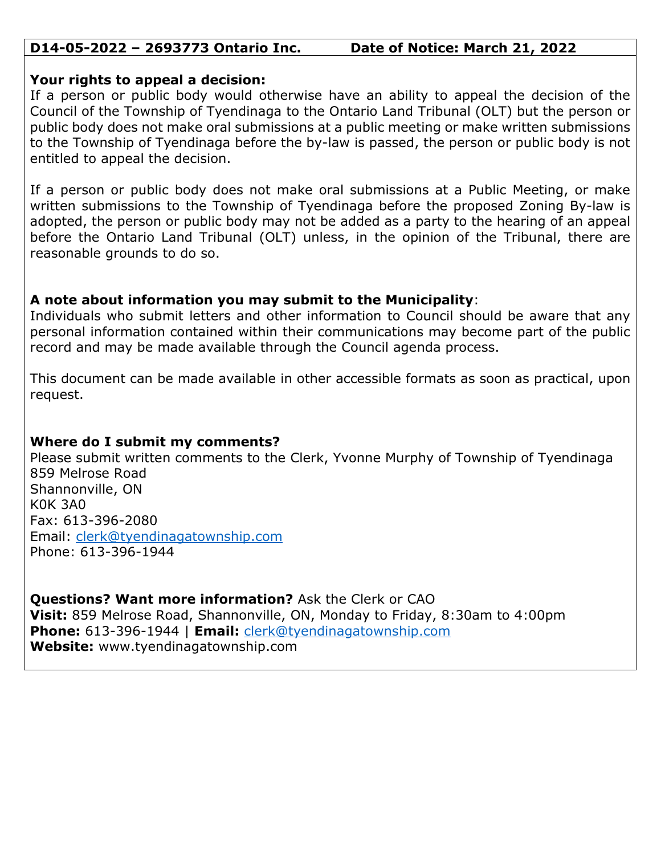### **D14-05-2022 – 2693773 Ontario Inc. Date of Notice: March 21, 2022**

#### **Your rights to appeal a decision:**

If a person or public body would otherwise have an ability to appeal the decision of the Council of the Township of Tyendinaga to the Ontario Land Tribunal (OLT) but the person or public body does not make oral submissions at a public meeting or make written submissions to the Township of Tyendinaga before the by-law is passed, the person or public body is not entitled to appeal the decision.

If a person or public body does not make oral submissions at a Public Meeting, or make written submissions to the Township of Tyendinaga before the proposed Zoning By-law is adopted, the person or public body may not be added as a party to the hearing of an appeal before the Ontario Land Tribunal (OLT) unless, in the opinion of the Tribunal, there are reasonable grounds to do so.

## **A note about information you may submit to the Municipality**:

Individuals who submit letters and other information to Council should be aware that any personal information contained within their communications may become part of the public record and may be made available through the Council agenda process.

This document can be made available in other accessible formats as soon as practical, upon request.

# **Where do I submit my comments?**

Please submit written comments to the Clerk, Yvonne Murphy of Township of Tyendinaga 859 Melrose Road Shannonville, ON K0K 3A0 Fax: 613-396-2080 Email: [clerk@tyendinagatownship.com](mailto:clerk@tyendinagatownship.com) Phone: 613-396-1944

**Questions? Want more information?** Ask the Clerk or CAO **Visit:** 859 Melrose Road, Shannonville, ON, Monday to Friday, 8:30am to 4:00pm **Phone:** 613-396-1944 | **Email:** [clerk@tyendinagatownship.com](mailto:clerk@tyendinagatownship.com) **Website:** www.tyendinagatownship.com